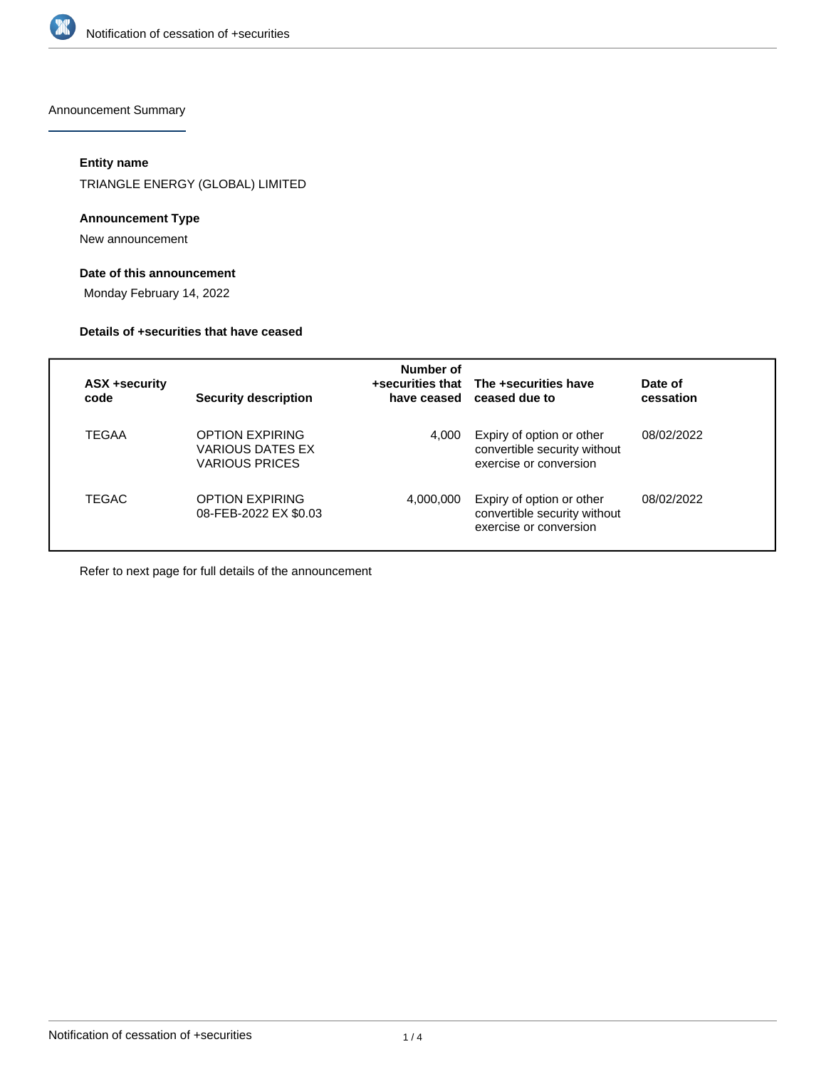

Announcement Summary

# **Entity name**

TRIANGLE ENERGY (GLOBAL) LIMITED

#### **Announcement Type**

New announcement

# **Date of this announcement**

Monday February 14, 2022

#### **Details of +securities that have ceased**

|                       |                                                                     | Number of |                                                                                     |                      |
|-----------------------|---------------------------------------------------------------------|-----------|-------------------------------------------------------------------------------------|----------------------|
| ASX +security<br>code | <b>Security description</b>                                         |           | +securities that The +securities have<br>have ceased ceased due to                  | Date of<br>cessation |
| TEGAA                 | <b>OPTION EXPIRING</b><br><b>VARIOUS DATES EX</b><br>VARIOUS PRICES | 4.000     | Expiry of option or other<br>convertible security without<br>exercise or conversion | 08/02/2022           |
| TEGAC                 | OPTION EXPIRING<br>08-FEB-2022 EX \$0.03                            | 4,000,000 | Expiry of option or other<br>convertible security without<br>exercise or conversion | 08/02/2022           |

Refer to next page for full details of the announcement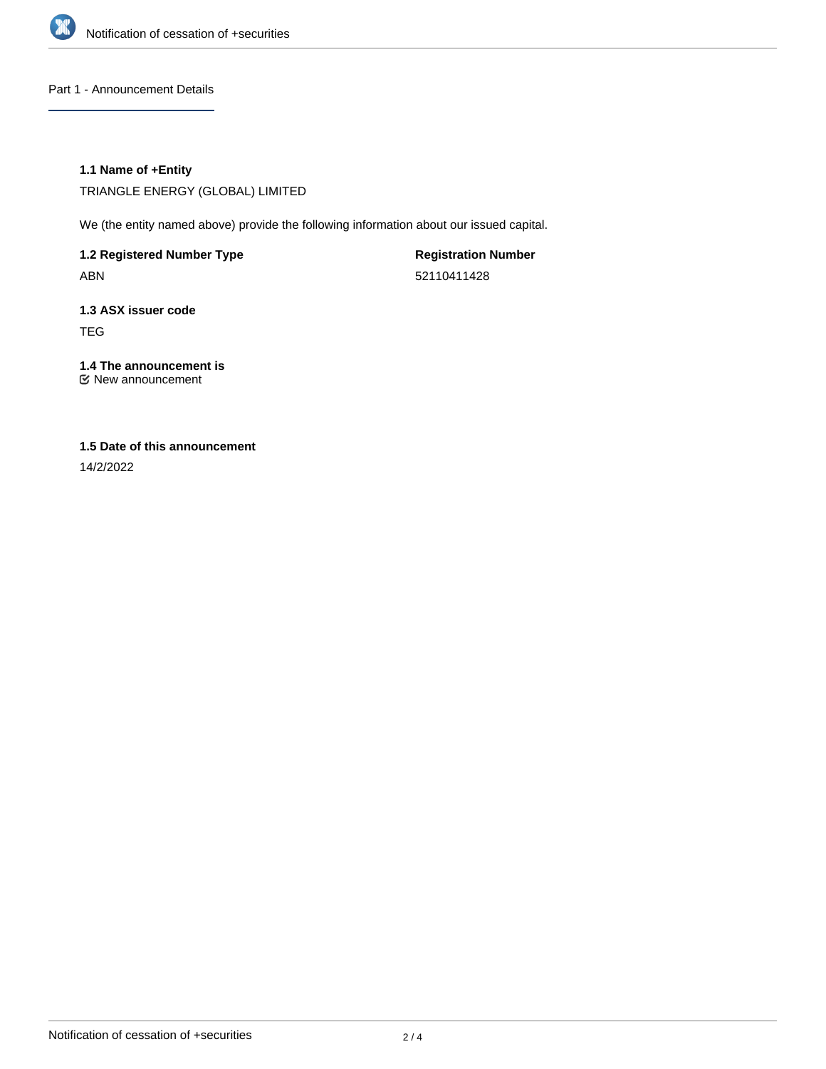

Part 1 - Announcement Details

### **1.1 Name of +Entity**

TRIANGLE ENERGY (GLOBAL) LIMITED

We (the entity named above) provide the following information about our issued capital.

**1.2 Registered Number Type** ABN

**Registration Number** 52110411428

**1.3 ASX issuer code** TEG

**1.4 The announcement is** New announcement

### **1.5 Date of this announcement**

14/2/2022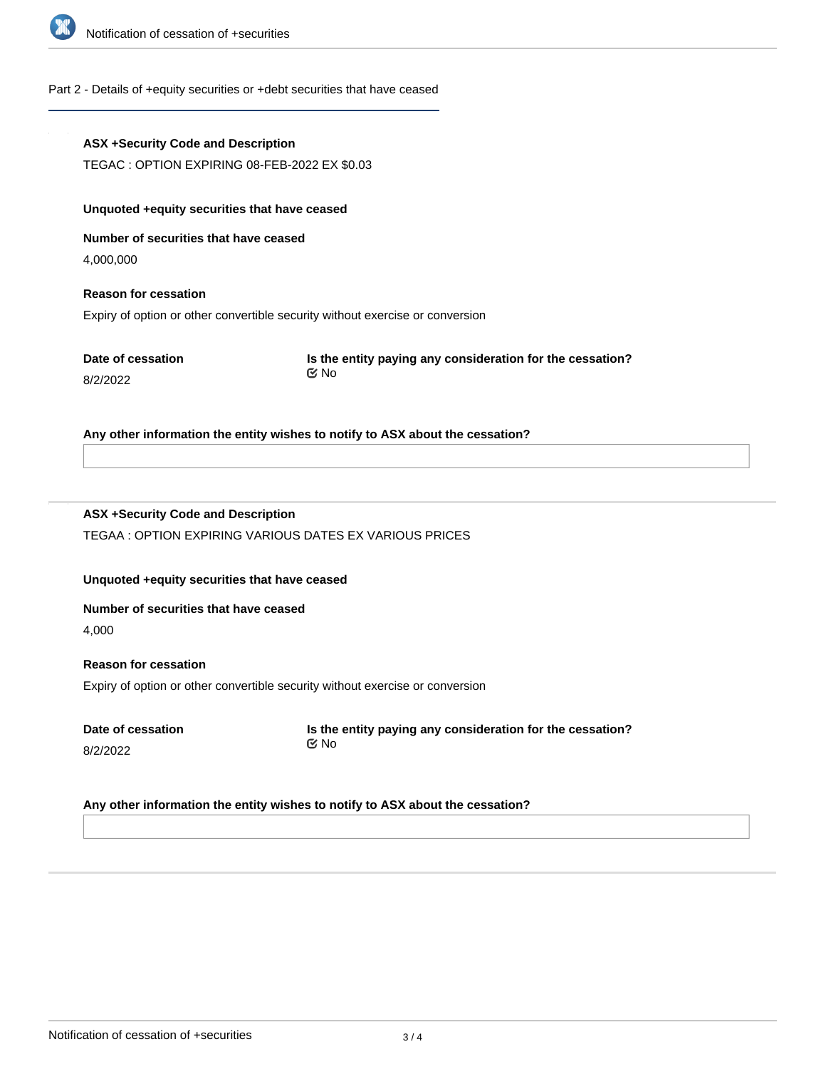

# Part 2 - Details of +equity securities or +debt securities that have ceased

| <b>ASX +Security Code and Description</b>     |                                                                               |  |  |  |  |  |
|-----------------------------------------------|-------------------------------------------------------------------------------|--|--|--|--|--|
| TEGAC : OPTION EXPIRING 08-FEB-2022 EX \$0.03 |                                                                               |  |  |  |  |  |
| Unquoted +equity securities that have ceased  |                                                                               |  |  |  |  |  |
| Number of securities that have ceased         |                                                                               |  |  |  |  |  |
| 4,000,000                                     |                                                                               |  |  |  |  |  |
| <b>Reason for cessation</b>                   |                                                                               |  |  |  |  |  |
|                                               | Expiry of option or other convertible security without exercise or conversion |  |  |  |  |  |
| Date of cessation<br>8/2/2022                 | Is the entity paying any consideration for the cessation?<br>় No             |  |  |  |  |  |
|                                               | Any other information the entity wishes to notify to ASX about the cessation? |  |  |  |  |  |
| <b>ASX +Security Code and Description</b>     |                                                                               |  |  |  |  |  |
|                                               | TEGAA: OPTION EXPIRING VARIOUS DATES EX VARIOUS PRICES                        |  |  |  |  |  |
| Unquoted +equity securities that have ceased  |                                                                               |  |  |  |  |  |
| Number of securities that have ceased         |                                                                               |  |  |  |  |  |
| 4,000                                         |                                                                               |  |  |  |  |  |
| <b>Reason for cessation</b>                   |                                                                               |  |  |  |  |  |
|                                               | Expiry of option or other convertible security without exercise or conversion |  |  |  |  |  |
| Date of cessation<br>8/2/2022                 | Is the entity paying any consideration for the cessation?<br><b>MO</b>        |  |  |  |  |  |
|                                               | Any other information the entity wishes to notify to ASX about the cessation? |  |  |  |  |  |